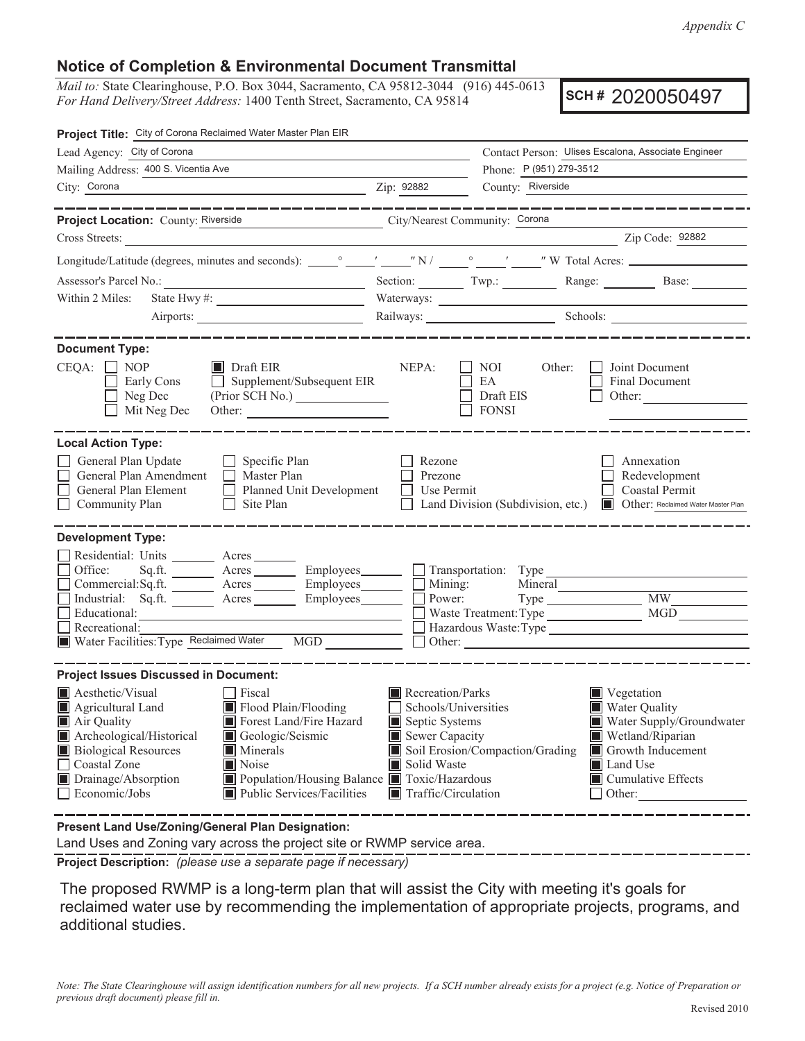*Appendix C*

## **Notice of Completion & Environmental Document Transmittal**

*Mail to:* State Clearinghouse, P.O. Box 3044, Sacramento, CA 95812-3044 (916) 445-0613 *For Hand Delivery/Street Address:* 1400 Tenth Street, Sacramento, CA 95814

**SCH #** 2020050497

| Project Title: City of Corona Reclaimed Water Master Plan EIR                                                                                                                                                                                                                                                                                                                                 |                                                                                                                                   |                                                  |                                                                                                                                                                    |  |
|-----------------------------------------------------------------------------------------------------------------------------------------------------------------------------------------------------------------------------------------------------------------------------------------------------------------------------------------------------------------------------------------------|-----------------------------------------------------------------------------------------------------------------------------------|--------------------------------------------------|--------------------------------------------------------------------------------------------------------------------------------------------------------------------|--|
| Lead Agency: City of Corona                                                                                                                                                                                                                                                                                                                                                                   | Contact Person: Ulises Escalona, Associate Engineer                                                                               |                                                  |                                                                                                                                                                    |  |
| Mailing Address: 400 S. Vicentia Ave                                                                                                                                                                                                                                                                                                                                                          |                                                                                                                                   | Phone: P (951) 279-3512                          |                                                                                                                                                                    |  |
| City: Corona                                                                                                                                                                                                                                                                                                                                                                                  | Zip: 92882                                                                                                                        | County: Riverside                                |                                                                                                                                                                    |  |
| _______________                                                                                                                                                                                                                                                                                                                                                                               |                                                                                                                                   |                                                  |                                                                                                                                                                    |  |
| Project Location: County: Riverside<br>Cross Streets:                                                                                                                                                                                                                                                                                                                                         | City/Nearest Community: Corona                                                                                                    |                                                  | Zip Code: 92882                                                                                                                                                    |  |
|                                                                                                                                                                                                                                                                                                                                                                                               |                                                                                                                                   |                                                  |                                                                                                                                                                    |  |
|                                                                                                                                                                                                                                                                                                                                                                                               |                                                                                                                                   |                                                  |                                                                                                                                                                    |  |
|                                                                                                                                                                                                                                                                                                                                                                                               |                                                                                                                                   |                                                  | Section: Twp.: Range: Base: Base:                                                                                                                                  |  |
| Within 2 Miles:                                                                                                                                                                                                                                                                                                                                                                               |                                                                                                                                   |                                                  |                                                                                                                                                                    |  |
|                                                                                                                                                                                                                                                                                                                                                                                               |                                                                                                                                   | Railways: Schools: Schools:                      |                                                                                                                                                                    |  |
| <b>Document Type:</b>                                                                                                                                                                                                                                                                                                                                                                         |                                                                                                                                   |                                                  |                                                                                                                                                                    |  |
| $CEQA: \Box NOP$<br>$\blacksquare$ Draft EIR<br>Early Cons<br>$\Box$ Supplement/Subsequent EIR<br>$\Box$ Neg Dec<br>Mit Neg Dec                                                                                                                                                                                                                                                               | NEPA:<br>⊔                                                                                                                        | Other:<br>NOI<br>EA<br>Draft EIS<br>$\Box$ FONSI | Joint Document<br>Final Document<br>Other:                                                                                                                         |  |
| <b>Local Action Type:</b><br>General Plan Update<br>$\Box$ Specific Plan<br>General Plan Amendment<br>Master Plan<br>General Plan Element<br>Planned Unit Development<br>Community Plan<br>$\Box$ Site Plan                                                                                                                                                                                   | Rezone<br>Prezone<br>Use Permit                                                                                                   |                                                  | Annexation<br>Redevelopment<br>Coastal Permit<br>Land Division (Subdivision, etc.) Cther: Reclaimed Water Master Plan                                              |  |
| <b>Development Type:</b><br>Residential: Units ________ Acres _______<br>Office:<br>Sq.ft. _________ Acres __________ Employees ________ __ Transportation: Type<br>Commercial:Sq.ft. ________ Acres ________ Employees________ $\Box$<br>Industrial: Sq.ft. _______ Acres ________ Employees_______<br>Educational:<br>Recreational:<br>Water Facilities: Type Reclaimed Water MGD _________ | Mining:<br>Power:                                                                                                                 | Mineral<br>Waste Treatment: Type                 | <b>MW</b><br>MGD                                                                                                                                                   |  |
| <b>Project Issues Discussed in Document:</b>                                                                                                                                                                                                                                                                                                                                                  |                                                                                                                                   |                                                  |                                                                                                                                                                    |  |
| Aesthetic/Visual<br>Fiscal<br>Flood Plain/Flooding<br>Agricultural Land<br>Forest Land/Fire Hazard<br>Air Quality<br>Archeological/Historical<br>Geologic/Seismic<br><b>Biological Resources</b><br><b>Minerals</b><br>Noise<br>Coastal Zone<br>Drainage/Absorption<br>Population/Housing Balance Toxic/Hazardous<br>Economic/Jobs<br>$\blacksquare$ Public Services/Facilities               | Recreation/Parks<br>Schools/Universities<br>Septic Systems<br>Sewer Capacity<br>Solid Waste<br>$\blacksquare$ Traffic/Circulation | Soil Erosion/Compaction/Grading                  | Vegetation<br><b>Water Quality</b><br>Water Supply/Groundwater<br>Wetland/Riparian<br>Growth Inducement<br>Land Use<br>$\blacksquare$ Cumulative Effects<br>Other: |  |
| Present Land Use/Zoning/General Plan Designation:                                                                                                                                                                                                                                                                                                                                             |                                                                                                                                   |                                                  |                                                                                                                                                                    |  |

Land Uses and Zoning vary across the project site or RWMP service area.

**Project Description:** *(please use a separate page if necessary)*

 The proposed RWMP is a long-term plan that will assist the City with meeting it's goals for reclaimed water use by recommending the implementation of appropriate projects, programs, and additional studies.